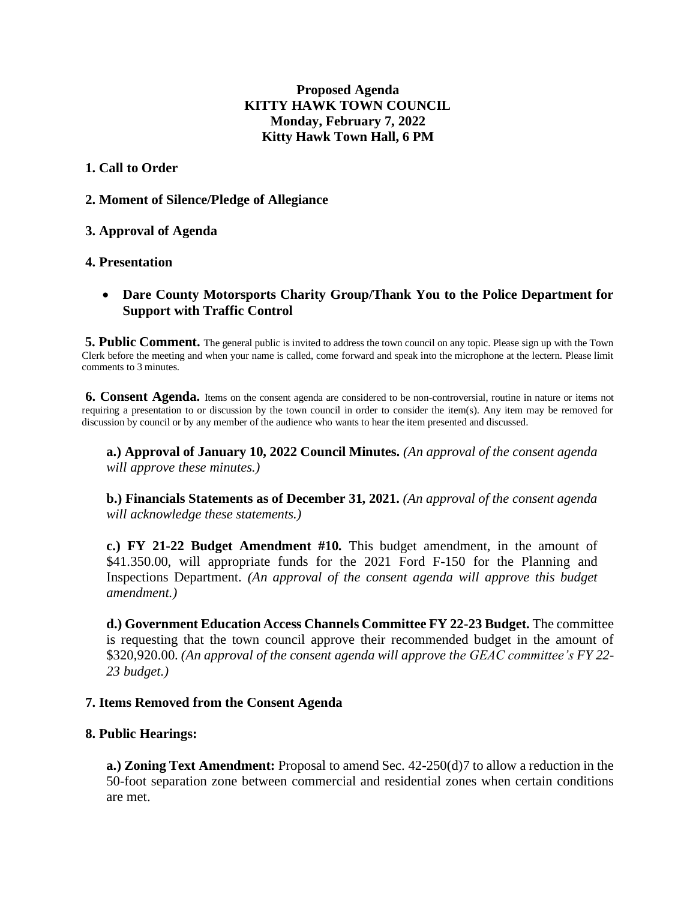# **Proposed Agenda KITTY HAWK TOWN COUNCIL Monday, February 7, 2022 Kitty Hawk Town Hall, 6 PM**

## **1. Call to Order**

**2. Moment of Silence/Pledge of Allegiance**

# **3. Approval of Agenda**

# **4. Presentation**

# • **Dare County Motorsports Charity Group/Thank You to the Police Department for Support with Traffic Control**

**5. Public Comment.** The general public is invited to address the town council on any topic. Please sign up with the Town Clerk before the meeting and when your name is called, come forward and speak into the microphone at the lectern. Please limit comments to 3 minutes.

**6. Consent Agenda.** Items on the consent agenda are considered to be non-controversial, routine in nature or items not requiring a presentation to or discussion by the town council in order to consider the item(s). Any item may be removed for discussion by council or by any member of the audience who wants to hear the item presented and discussed.

**a.) Approval of January 10, 2022 Council Minutes.** *(An approval of the consent agenda will approve these minutes.)* 

**b.) Financials Statements as of December 31, 2021.** *(An approval of the consent agenda will acknowledge these statements.)* 

**c.) FY 21-22 Budget Amendment #10.** This budget amendment, in the amount of \$41.350.00, will appropriate funds for the 2021 Ford F-150 for the Planning and Inspections Department. *(An approval of the consent agenda will approve this budget amendment.)*

**d.) Government Education Access Channels Committee FY 22-23 Budget.** The committee is requesting that the town council approve their recommended budget in the amount of \$320,920.00. *(An approval of the consent agenda will approve the GEAC committee's FY 22- 23 budget.)* 

## **7. Items Removed from the Consent Agenda**

## **8. Public Hearings:**

**a.) Zoning Text Amendment:** Proposal to amend Sec. 42-250(d)7 to allow a reduction in the 50-foot separation zone between commercial and residential zones when certain conditions are met.